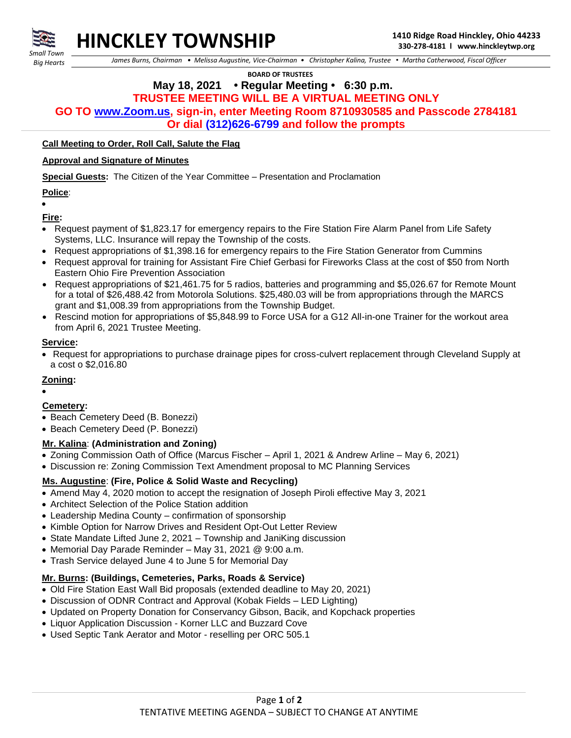

*Small Town Big Hearts*

 *James Burns, Chairman • Melissa Augustine, Vice-Chairman • Christopher Kalina, Trustee • Martha Catherwood, Fiscal Officer*

 **BOARD OF TRUSTEES**

 **May 18, 2021 • Regular Meeting • 6:30 p.m.**

# **TRUSTEE MEETING WILL BE A VIRTUAL MEETING ONLY**

**GO TO [www.Zoom.us,](http://www.zoom.us/) sign-in, enter Meeting Room 8710930585 and Passcode 2784181**

**Or dial (312)626-6799 and follow the prompts**

## **Call Meeting to Order, Roll Call, Salute the Flag**

#### **Approval and Signature of Minutes**

**Special Guests:** The Citizen of the Year Committee – Presentation and Proclamation

#### **Police**:

•

**Fire:**

- Request payment of \$1,823.17 for emergency repairs to the Fire Station Fire Alarm Panel from Life Safety Systems, LLC. Insurance will repay the Township of the costs.
- Request appropriations of \$1,398.16 for emergency repairs to the Fire Station Generator from Cummins
- Request approval for training for Assistant Fire Chief Gerbasi for Fireworks Class at the cost of \$50 from North Eastern Ohio Fire Prevention Association
- Request appropriations of \$21,461.75 for 5 radios, batteries and programming and \$5,026.67 for Remote Mount for a total of \$26,488.42 from Motorola Solutions. \$25,480.03 will be from appropriations through the MARCS grant and \$1,008.39 from appropriations from the Township Budget.
- Rescind motion for appropriations of \$5,848.99 to Force USA for a G12 All-in-one Trainer for the workout area from April 6, 2021 Trustee Meeting.

# **Service:**

• Request for appropriations to purchase drainage pipes for cross-culvert replacement through Cleveland Supply at a cost o \$2,016.80

#### **Zoning:**

•

# **Cemetery:**

- Beach Cemetery Deed (B. Bonezzi)
- Beach Cemetery Deed (P. Bonezzi)

# **Mr. Kalina**: **(Administration and Zoning)**

- Zoning Commission Oath of Office (Marcus Fischer April 1, 2021 & Andrew Arline May 6, 2021)
- Discussion re: Zoning Commission Text Amendment proposal to MC Planning Services

# **Ms. Augustine**: **(Fire, Police & Solid Waste and Recycling)**

- Amend May 4, 2020 motion to accept the resignation of Joseph Piroli effective May 3, 2021
- Architect Selection of the Police Station addition
- Leadership Medina County confirmation of sponsorship
- Kimble Option for Narrow Drives and Resident Opt-Out Letter Review
- State Mandate Lifted June 2, 2021 Township and JaniKing discussion
- Memorial Day Parade Reminder May 31, 2021 @ 9:00 a.m.
- Trash Service delayed June 4 to June 5 for Memorial Day

# **Mr. Burns: (Buildings, Cemeteries, Parks, Roads & Service)**

- Old Fire Station East Wall Bid proposals (extended deadline to May 20, 2021)
- Discussion of ODNR Contract and Approval (Kobak Fields LED Lighting)
- Updated on Property Donation for Conservancy Gibson, Bacik, and Kopchack properties
- Liquor Application Discussion Korner LLC and Buzzard Cove
- Used Septic Tank Aerator and Motor reselling per ORC 505.1